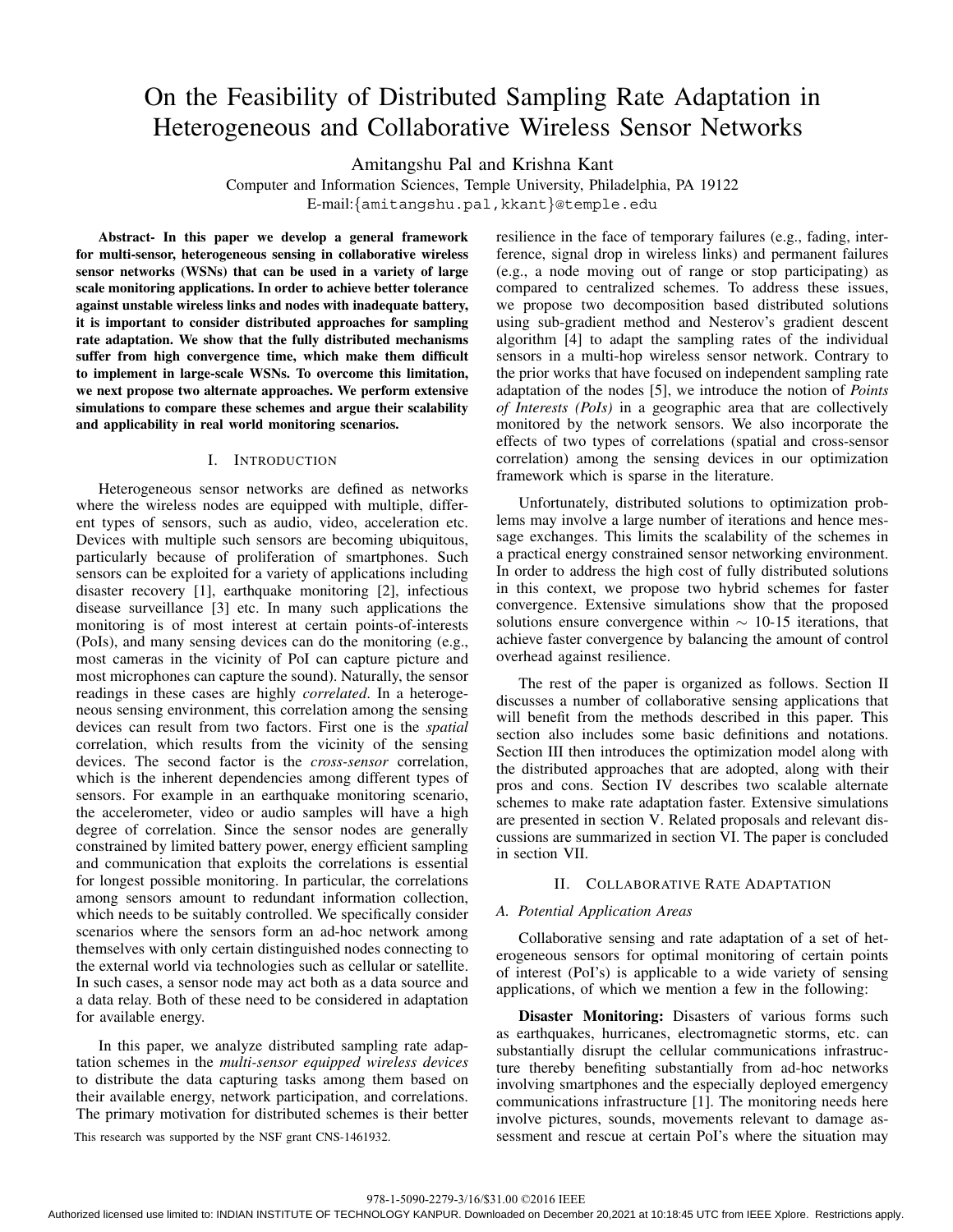# On the Feasibility of Distributed Sampling Rate Adaptation in Heterogeneous and Collaborative Wireless Sensor Networks

Amitangshu Pal and Krishna Kant

Computer and Information Sciences, Temple University, Philadelphia, PA 19122 E-mail:{amitangshu.pal,kkant}@temple.edu

**Abstract- In this paper we develop a general framework for multi-sensor, heterogeneous sensing in collaborative wireless sensor networks (WSNs) that can be used in a variety of large scale monitoring applications. In order to achieve better tolerance against unstable wireless links and nodes with inadequate battery, it is important to consider distributed approaches for sampling rate adaptation. We show that the fully distributed mechanisms suffer from high convergence time, which make them difficult to implement in large-scale WSNs. To overcome this limitation, we next propose two alternate approaches. We perform extensive simulations to compare these schemes and argue their scalability and applicability in real world monitoring scenarios.**

# I. INTRODUCTION

Heterogeneous sensor networks are defined as networks where the wireless nodes are equipped with multiple, different types of sensors, such as audio, video, acceleration etc. Devices with multiple such sensors are becoming ubiquitous, particularly because of proliferation of smartphones. Such sensors can be exploited for a variety of applications including disaster recovery [1], earthquake monitoring [2], infectious disease surveillance [3] etc. In many such applications the monitoring is of most interest at certain points-of-interests (PoIs), and many sensing devices can do the monitoring (e.g., most cameras in the vicinity of PoI can capture picture and most microphones can capture the sound). Naturally, the sensor readings in these cases are highly *correlated*. In a heterogeneous sensing environment, this correlation among the sensing devices can result from two factors. First one is the *spatial* correlation, which results from the vicinity of the sensing devices. The second factor is the *cross-sensor* correlation, which is the inherent dependencies among different types of sensors. For example in an earthquake monitoring scenario, the accelerometer, video or audio samples will have a high degree of correlation. Since the sensor nodes are generally constrained by limited battery power, energy efficient sampling and communication that exploits the correlations is essential for longest possible monitoring. In particular, the correlations among sensors amount to redundant information collection, which needs to be suitably controlled. We specifically consider scenarios where the sensors form an ad-hoc network among themselves with only certain distinguished nodes connecting to the external world via technologies such as cellular or satellite. In such cases, a sensor node may act both as a data source and a data relay. Both of these need to be considered in adaptation for available energy.

In this paper, we analyze distributed sampling rate adaptation schemes in the *multi-sensor equipped wireless devices* to distribute the data capturing tasks among them based on their available energy, network participation, and correlations. The primary motivation for distributed schemes is their better

resilience in the face of temporary failures (e.g., fading, interference, signal drop in wireless links) and permanent failures (e.g., a node moving out of range or stop participating) as compared to centralized schemes. To address these issues, we propose two decomposition based distributed solutions using sub-gradient method and Nesterov's gradient descent algorithm [4] to adapt the sampling rates of the individual sensors in a multi-hop wireless sensor network. Contrary to the prior works that have focused on independent sampling rate adaptation of the nodes [5], we introduce the notion of *Points of Interests (PoIs)* in a geographic area that are collectively monitored by the network sensors. We also incorporate the effects of two types of correlations (spatial and cross-sensor correlation) among the sensing devices in our optimization framework which is sparse in the literature.

Unfortunately, distributed solutions to optimization problems may involve a large number of iterations and hence message exchanges. This limits the scalability of the schemes in a practical energy constrained sensor networking environment. In order to address the high cost of fully distributed solutions in this context, we propose two hybrid schemes for faster convergence. Extensive simulations show that the proposed solutions ensure convergence within  $\sim$  10-15 iterations, that achieve faster convergence by balancing the amount of control overhead against resilience.

The rest of the paper is organized as follows. Section II discusses a number of collaborative sensing applications that will benefit from the methods described in this paper. This section also includes some basic definitions and notations. Section III then introduces the optimization model along with the distributed approaches that are adopted, along with their pros and cons. Section IV describes two scalable alternate schemes to make rate adaptation faster. Extensive simulations are presented in section V. Related proposals and relevant discussions are summarized in section VI. The paper is concluded in section VII.

#### II. COLLABORATIVE RATE ADAPTATION

#### *A. Potential Application Areas*

Collaborative sensing and rate adaptation of a set of heterogeneous sensors for optimal monitoring of certain points of interest (PoI's) is applicable to a wide variety of sensing applications, of which we mention a few in the following:

**Disaster Monitoring:** Disasters of various forms such as earthquakes, hurricanes, electromagnetic storms, etc. can substantially disrupt the cellular communications infrastructure thereby benefiting substantially from ad-hoc networks involving smartphones and the especially deployed emergency communications infrastructure [1]. The monitoring needs here involve pictures, sounds, movements relevant to damage as-This research was supported by the NSF grant CNS-1461932. Sessment and rescue at certain PoI's where the situation may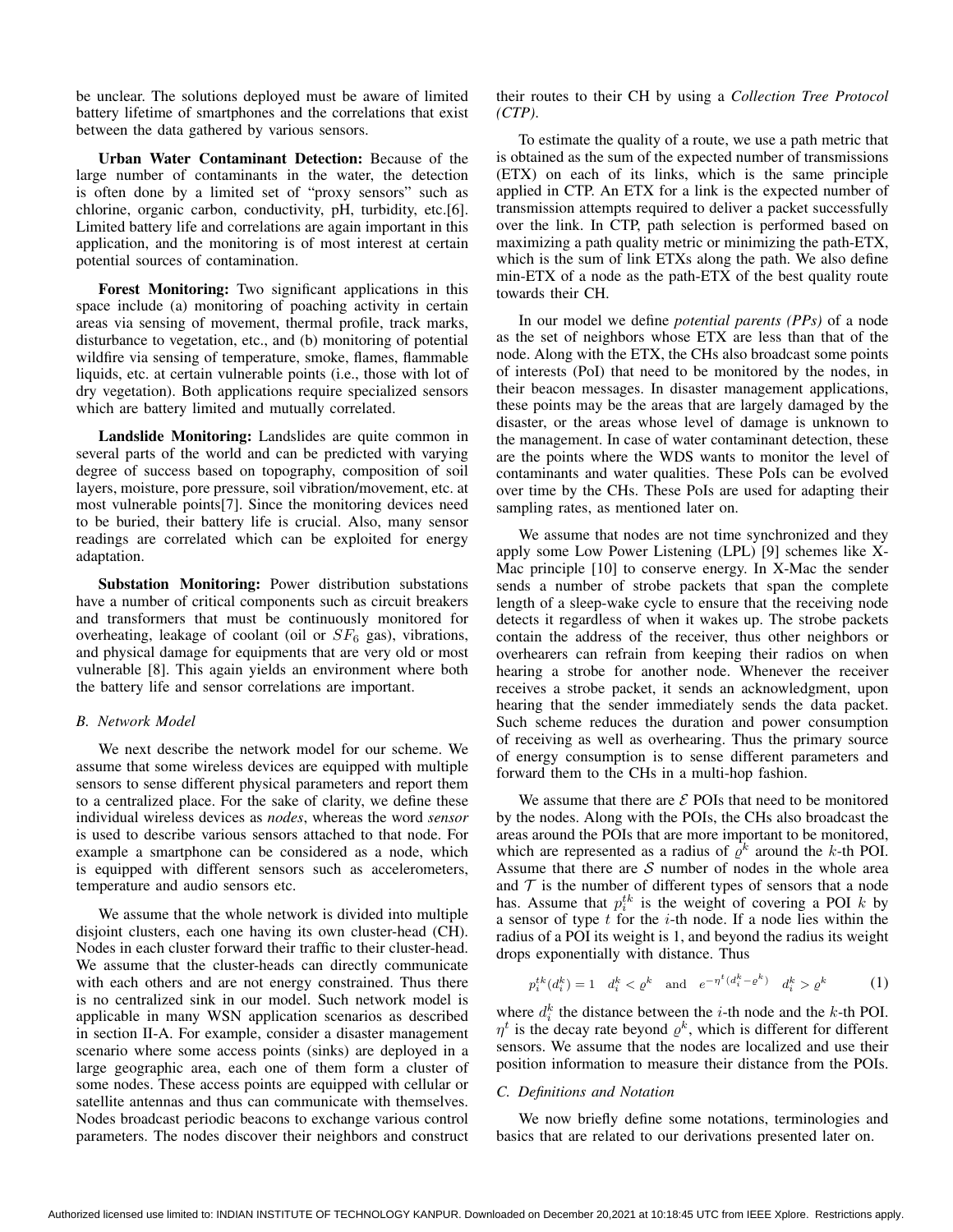be unclear. The solutions deployed must be aware of limited battery lifetime of smartphones and the correlations that exist between the data gathered by various sensors.

**Urban Water Contaminant Detection:** Because of the large number of contaminants in the water, the detection is often done by a limited set of "proxy sensors" such as chlorine, organic carbon, conductivity, pH, turbidity, etc.[6]. Limited battery life and correlations are again important in this application, and the monitoring is of most interest at certain potential sources of contamination.

**Forest Monitoring:** Two significant applications in this space include (a) monitoring of poaching activity in certain areas via sensing of movement, thermal profile, track marks, disturbance to vegetation, etc., and (b) monitoring of potential wildfire via sensing of temperature, smoke, flames, flammable liquids, etc. at certain vulnerable points (i.e., those with lot of dry vegetation). Both applications require specialized sensors which are battery limited and mutually correlated.

**Landslide Monitoring:** Landslides are quite common in several parts of the world and can be predicted with varying degree of success based on topography, composition of soil layers, moisture, pore pressure, soil vibration/movement, etc. at most vulnerable points[7]. Since the monitoring devices need to be buried, their battery life is crucial. Also, many sensor readings are correlated which can be exploited for energy adaptation.

**Substation Monitoring:** Power distribution substations have a number of critical components such as circuit breakers and transformers that must be continuously monitored for overheating, leakage of coolant (oil or  $SF<sub>6</sub>$  gas), vibrations, and physical damage for equipments that are very old or most vulnerable [8]. This again yields an environment where both the battery life and sensor correlations are important.

### *B. Network Model*

We next describe the network model for our scheme. We assume that some wireless devices are equipped with multiple sensors to sense different physical parameters and report them to a centralized place. For the sake of clarity, we define these individual wireless devices as *nodes*, whereas the word *sensor* is used to describe various sensors attached to that node. For example a smartphone can be considered as a node, which is equipped with different sensors such as accelerometers, temperature and audio sensors etc.

We assume that the whole network is divided into multiple disjoint clusters, each one having its own cluster-head (CH). Nodes in each cluster forward their traffic to their cluster-head. We assume that the cluster-heads can directly communicate with each others and are not energy constrained. Thus there is no centralized sink in our model. Such network model is applicable in many WSN application scenarios as described in section II-A. For example, consider a disaster management scenario where some access points (sinks) are deployed in a large geographic area, each one of them form a cluster of some nodes. These access points are equipped with cellular or satellite antennas and thus can communicate with themselves. Nodes broadcast periodic beacons to exchange various control parameters. The nodes discover their neighbors and construct their routes to their CH by using a *Collection Tree Protocol (CTP)*.

To estimate the quality of a route, we use a path metric that is obtained as the sum of the expected number of transmissions (ETX) on each of its links, which is the same principle applied in CTP. An ETX for a link is the expected number of transmission attempts required to deliver a packet successfully over the link. In CTP, path selection is performed based on maximizing a path quality metric or minimizing the path-ETX, which is the sum of link ETXs along the path. We also define min-ETX of a node as the path-ETX of the best quality route towards their CH.

In our model we define *potential parents (PPs)* of a node as the set of neighbors whose ETX are less than that of the node. Along with the ETX, the CHs also broadcast some points of interests (PoI) that need to be monitored by the nodes, in their beacon messages. In disaster management applications, these points may be the areas that are largely damaged by the disaster, or the areas whose level of damage is unknown to the management. In case of water contaminant detection, these are the points where the WDS wants to monitor the level of contaminants and water qualities. These PoIs can be evolved over time by the CHs. These PoIs are used for adapting their sampling rates, as mentioned later on.

We assume that nodes are not time synchronized and they apply some Low Power Listening (LPL) [9] schemes like X-Mac principle [10] to conserve energy. In X-Mac the sender sends a number of strobe packets that span the complete length of a sleep-wake cycle to ensure that the receiving node detects it regardless of when it wakes up. The strobe packets contain the address of the receiver, thus other neighbors or overhearers can refrain from keeping their radios on when hearing a strobe for another node. Whenever the receiver receives a strobe packet, it sends an acknowledgment, upon hearing that the sender immediately sends the data packet. Such scheme reduces the duration and power consumption of receiving as well as overhearing. Thus the primary source of energy consumption is to sense different parameters and forward them to the CHs in a multi-hop fashion.

We assume that there are  $\mathcal E$  POIs that need to be monitored by the nodes. Along with the POIs, the CHs also broadcast the areas around the POIs that are more important to be monitored, which are represented as a radius of  $\rho^k$  around the k-th POI. Assume that there are  $S$  number of nodes in the whole area and  $\mathcal T$  is the number of different types of sensors that a node has. Assume that  $p_i^{tk}$  is the weight of covering a POI k by a sensor of type  $t$  for the  $i$ -th node. If a node lies within the radius of a POI its weight is 1, and beyond the radius its weight drops exponentially with distance. Thus

$$
p_i^{tk}(d_i^k) = 1 \quad d_i^k < \varrho^k \quad \text{and} \quad e^{-\eta^t (d_i^k - \varrho^k)} \quad d_i^k > \varrho^k \tag{1}
$$

where  $d_i^k$  the distance between the *i*-th node and the *k*-th POI.  $\eta^t$  is the decay rate beyond  $\rho^k$ , which is different for different sensors. We assume that the nodes are localized and use their position information to measure their distance from the POIs.

### *C. Definitions and Notation*

We now briefly define some notations, terminologies and basics that are related to our derivations presented later on.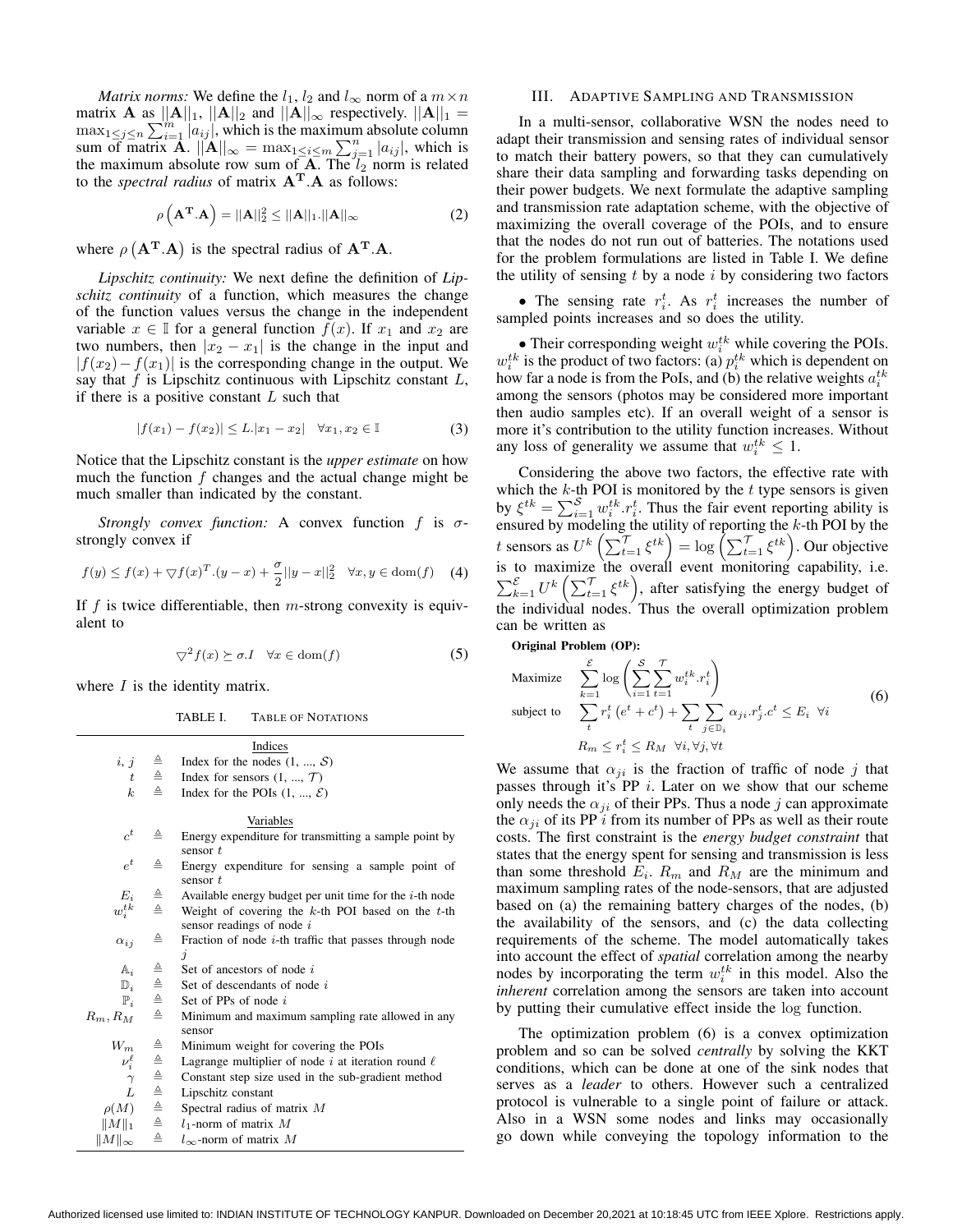*Matrix norms:* We define the  $l_1$ ,  $l_2$  and  $l_{\infty}$  norm of a  $m \times n$ matrix **A** as  $||A||_1$ ,  $||A||_2$  and  $||A||_{\infty}$  respectively.  $||A||_1 =$  $\max_{1 \leq j \leq n} \sum_{i=1}^{m} |a_{ij}|$ , which is the maximum absolute column sum of matrix **A**.  $||\mathbf{A}||_{\infty} = \max_{1 \leq i \leq m} \sum_{j=1}^{n} |a_{ij}|$ , which is the maximum absolute row sum of  $A$ . The  $l_2$  norm is related to the *spectral radius* of matrix  $A<sup>T</sup> A$  as follows:

$$
\rho\left(\mathbf{A}^{\mathbf{T}}.\mathbf{A}\right) = ||\mathbf{A}||_2^2 \le ||\mathbf{A}||_1.||\mathbf{A}||_{\infty} \tag{2}
$$

where  $\rho$  ( $\mathbf{A}^T \cdot \mathbf{A}$ ) is the spectral radius of  $\mathbf{A}^T \cdot \mathbf{A}$ .

*Lipschitz continuity:* We next define the definition of *Lipschitz continuity* of a function, which measures the change of the function values versus the change in the independent variable  $x \in \mathbb{I}$  for a general function  $f(x)$ . If  $x_1$  and  $x_2$  are two numbers, then  $|x_2 - x_1|$  is the change in the input and  $|f(x_2)-f(x_1)|$  is the corresponding change in the output. We say that  $f$  is Lipschitz continuous with Lipschitz constant  $L$ , if there is a positive constant  $L$  such that

$$
|f(x_1) - f(x_2)| \le L |x_1 - x_2| \quad \forall x_1, x_2 \in \mathbb{I}
$$
 (3)

Notice that the Lipschitz constant is the *upper estimate* on how much the function  $f$  changes and the actual change might be much smaller than indicated by the constant.

*Strongly convex function:* A convex function  $f$  is  $\sigma$ strongly convex if

$$
f(y) \le f(x) + \nabla f(x)^T (y - x) + \frac{\sigma}{2} ||y - x||_2^2 \quad \forall x, y \in \text{dom}(f)
$$
 (4)

If  $f$  is twice differentiable, then  $m$ -strong convexity is equivalent to

$$
\nabla^2 f(x) \succeq \sigma \cdot I \quad \forall x \in \text{dom}(f) \tag{5}
$$

where  $I$  is the identity matrix.

 $||M||_{\infty}$   $\triangleq$   $l_{\infty}$ -norm of matrix M

| TABLE I. | <b>TABLE OF NOTATIONS</b> |
|----------|---------------------------|
|          |                           |

|                            |                                                                             | Indices                                                    |
|----------------------------|-----------------------------------------------------------------------------|------------------------------------------------------------|
| i, j                       | $\triangleq$                                                                | Index for the nodes $(1, , S)$                             |
| t                          | $\triangleq$                                                                | Index for sensors $(1, , \mathcal{T})$                     |
| $k_{-}$                    | ≜                                                                           | Index for the POIs $(1, , \mathcal{E})$                    |
|                            |                                                                             |                                                            |
|                            |                                                                             | Variables                                                  |
| $c^t$                      | ≙                                                                           | Energy expenditure for transmitting a sample point by      |
|                            |                                                                             | sensor $t$                                                 |
| $e^t$                      | ≜                                                                           | Energy expenditure for sensing a sample point of           |
|                            |                                                                             | sensor $t$                                                 |
| $E_i$                      | $\triangleq$                                                                | Available energy budget per unit time for the $i$ -th node |
| $w_i^{tk}$                 | $\triangleq$                                                                | Weight of covering the $k$ -th POI based on the $t$ -th    |
|                            |                                                                             | sensor readings of node $i$                                |
| $\alpha_{ij}$              | ≜                                                                           | Fraction of node $i$ -th traffic that passes through node  |
|                            |                                                                             | $\overline{\mathbf{1}}$                                    |
| $\mathbb{A}_i$             | $\triangleq$                                                                | Set of ancestors of node i                                 |
| $\mathbb{D}_i$             | $\triangleq$                                                                | Set of descendants of node i                               |
| $\mathbb{P}_i$             | ≙                                                                           | Set of PPs of node $i$                                     |
| $R_m,R_M$                  | ≜                                                                           | Minimum and maximum sampling rate allowed in any           |
|                            |                                                                             | sensor                                                     |
| $W_m$                      |                                                                             | Minimum weight for covering the POIs                       |
| $\nu_i^{\ell}$<br>$\gamma$ | $\begin{array}{c}\triangle \cong\\ \triangle \cong\\ \triangle \end{array}$ | Lagrange multiplier of node i at iteration round $\ell$    |
|                            |                                                                             | Constant step size used in the sub-gradient method         |
| L                          | $\triangleq$                                                                | Lipschitz constant                                         |
| $\rho(M)$                  | ≜                                                                           | Spectral radius of matrix $M$                              |
| $  M  _1$                  | ≜                                                                           | $l_1$ -norm of matrix M                                    |

# III. ADAPTIVE SAMPLING AND TRANSMISSION

In a multi-sensor, collaborative WSN the nodes need to adapt their transmission and sensing rates of individual sensor to match their battery powers, so that they can cumulatively share their data sampling and forwarding tasks depending on their power budgets. We next formulate the adaptive sampling and transmission rate adaptation scheme, with the objective of maximizing the overall coverage of the POIs, and to ensure that the nodes do not run out of batteries. The notations used for the problem formulations are listed in Table I. We define the utility of sensing  $t$  by a node  $i$  by considering two factors

• The sensing rate  $r_i^t$ . As  $r_i^t$  increases the number of sampled points increases and so does the utility.

• Their corresponding weight  $w_i^{tk}$  while covering the POIs.  $w_i^{tk}$  is the product of two factors: (a)  $p_i^{tk}$  which is dependent on how far a node is from the PoIs, and (b) the relative weights  $a_i^{tk}$ among the sensors (photos may be considered more important then audio samples etc). If an overall weight of a sensor is more it's contribution to the utility function increases. Without any loss of generality we assume that  $w_i^{tk} \leq 1$ .

Considering the above two factors, the effective rate with which the  $k$ -th POI is monitored by the  $t$  type sensors is given by  $\xi^{tk} = \sum_{i=1}^{S} w_i^{tk} \cdot r_i^t$ . Thus the fair event reporting ability is ensured by modeling the utility of reporting the  $k$ -th POI by the t sensors as  $U^k\left(\sum_{t=1}^T \xi^{tk}\right) = \log \left(\sum_{t=1}^T \xi^{tk}\right)$ . Our objective is to maximize the overall event monitoring capability, i.e.  $\sum_{k=1}^{\mathcal{E}} U^k \left( \sum_{t=1}^{\mathcal{T}} \xi^{tk} \right)$ , after satisfying the energy budget of the individual nodes. Thus the overall optimization problem can be written as

**Original Problem (OP):**

Maximize 
$$
\sum_{k=1}^{\mathcal{E}} \log \left( \sum_{i=1}^{S} \sum_{t=1}^{T} w_i^{t_k} r_i^t \right)
$$
  
\nsubject to 
$$
\sum_{t} r_i^t (e^t + c^t) + \sum_{t} \sum_{j \in \mathbb{D}_i} \alpha_{ji} r_j^t . c^t \le E_i \quad \forall i
$$
  
\n
$$
R_m \le r_i^t \le R_M \quad \forall i, \forall j, \forall t
$$
 (6)

We assume that  $\alpha_{ji}$  is the fraction of traffic of node j that passes through it's  $PP$  i. Later on we show that our scheme only needs the  $\alpha_{ji}$  of their PPs. Thus a node j can approximate the  $\alpha_{ii}$  of its PP *i* from its number of PPs as well as their route costs. The first constraint is the *energy budget constraint* that states that the energy spent for sensing and transmission is less than some threshold  $E_i$ .  $R_m$  and  $R_M$  are the minimum and maximum sampling rates of the node-sensors, that are adjusted based on (a) the remaining battery charges of the nodes, (b) the availability of the sensors, and (c) the data collecting requirements of the scheme. The model automatically takes into account the effect of *spatial* correlation among the nearby nodes by incorporating the term  $w_i^{tk}$  in this model. Also the *inherent* correlation among the sensors are taken into account by putting their cumulative effect inside the log function.

The optimization problem (6) is a convex optimization problem and so can be solved *centrally* by solving the KKT conditions, which can be done at one of the sink nodes that serves as a *leader* to others. However such a centralized protocol is vulnerable to a single point of failure or attack. Also in a WSN some nodes and links may occasionally go down while conveying the topology information to the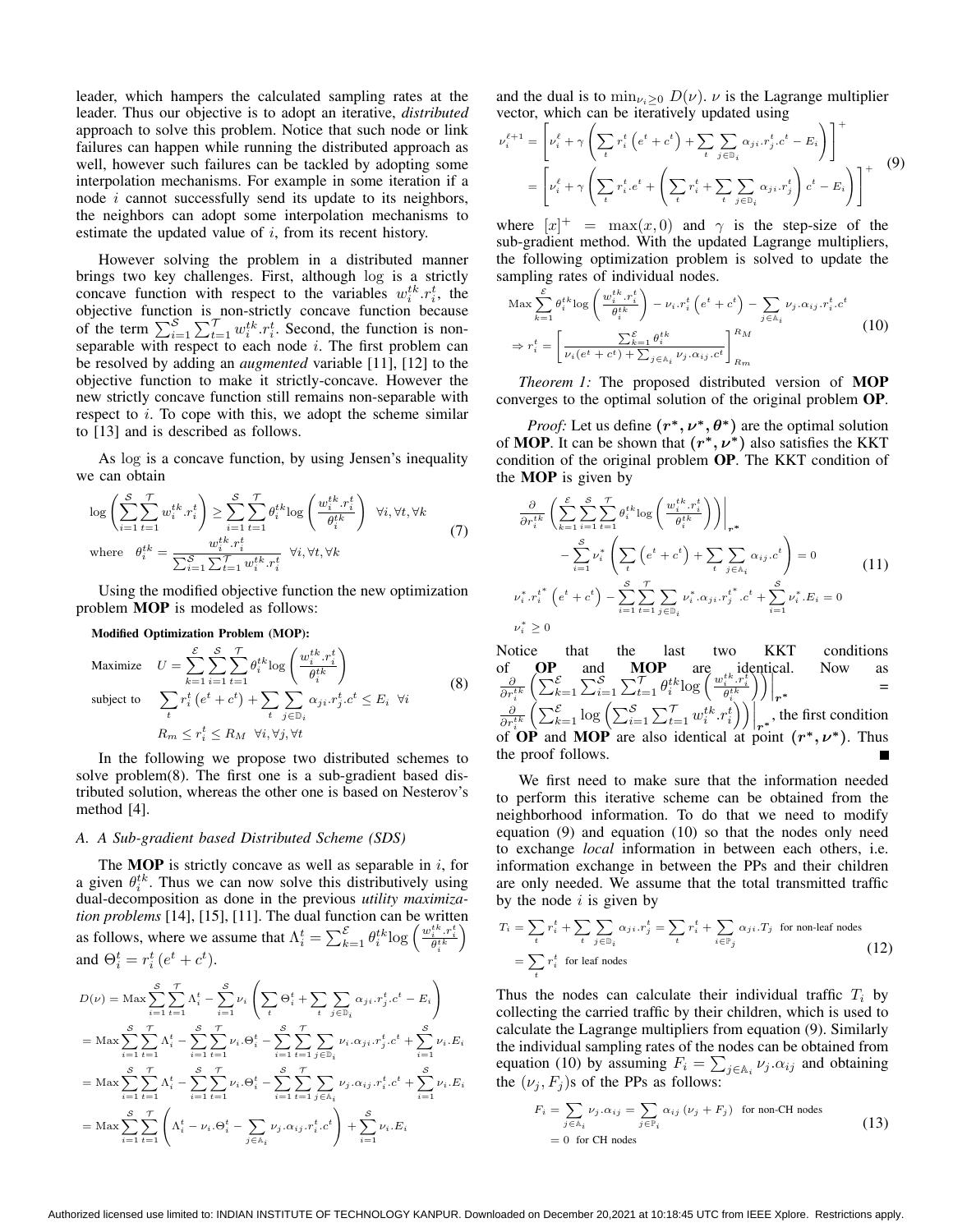leader, which hampers the calculated sampling rates at the leader. Thus our objective is to adopt an iterative, *distributed* approach to solve this problem. Notice that such node or link failures can happen while running the distributed approach as well, however such failures can be tackled by adopting some interpolation mechanisms. For example in some iteration if a node  $i$  cannot successfully send its update to its neighbors, the neighbors can adopt some interpolation mechanisms to estimate the updated value of  $i$ , from its recent history.

However solving the problem in a distributed manner brings two key challenges. First, although log is a strictly concave function with respect to the variables  $w_i^{tk} \cdot r_i^t$ , the objective function is non-strictly concave function because of the term  $\sum_{i=1}^{S} \sum_{t=1}^{T} w_i^{tk} \cdot r_i^t$ . Second, the function is nonseparable with respect to each node  $i$ . The first problem can be resolved by adding an *augmented* variable [11], [12] to the objective function to make it strictly-concave. However the new strictly concave function still remains non-separable with respect to  $i$ . To cope with this, we adopt the scheme similar to [13] and is described as follows.

As log is a concave function, by using Jensen's inequality we can obtain

$$
\log \left( \sum_{i=1}^{S} \sum_{t=1}^{T} w_i^{tk} . r_i^t \right) \ge \sum_{i=1}^{S} \sum_{t=1}^{T} \theta_i^{tk} \log \left( \frac{w_i^{tk} . r_i^t}{\theta_i^{tk}} \right) \quad \forall i, \forall t, \forall k
$$
\n
$$
\text{where} \quad \theta_i^{tk} = \frac{w_i^{tk} . r_i^t}{\sum_{i=1}^{S} \sum_{t=1}^{T} w_i^{tk} . r_i^t} \quad \forall i, \forall t, \forall k
$$
\n
$$
(7)
$$

Using the modified objective function the new optimization problem **MOP** is modeled as follows:

**Modified Optimization Problem (MOP):**

Maximize 
$$
U = \sum_{k=1}^{\mathcal{E}} \sum_{i=1}^{S} \sum_{t=1}^{T} \theta_i^{tk} \log \left( \frac{w_i^{tk} \cdot r_i^t}{\theta_i^{tk}} \right)
$$
  
\nsubject to 
$$
\sum_{t} r_i^t (e^t + c^t) + \sum_{t} \sum_{j \in \mathbb{D}_i} \alpha_{ji} r_j^t . c^t \le E_i \quad \forall i
$$
\n
$$
R_m \le r_i^t \le R_M \quad \forall i, \forall j, \forall t
$$
\n(8)

In the following we propose two distributed schemes to solve problem(8). The first one is a sub-gradient based distributed solution, whereas the other one is based on Nesterov's method [4].

#### *A. A Sub-gradient based Distributed Scheme (SDS)*

The **MOP** is strictly concave as well as separable in  $i$ , for a given  $\theta_i^{tk}$ . Thus we can now solve this distributively using dual-decomposition as done in the previous *utility maximization problems* [14], [15], [11]. The dual function can be written as follows, where we assume that  $\Lambda_i^t = \sum_{k=1}^{\mathcal{E}} \theta_i^{tk} \log \left( \frac{w_i^{tk} \cdot r_i^t}{\theta_i^{tk}} \right)$  $\setminus$ and  $\Theta_i^t = r_i^t (e^t + c^t)$ .

$$
D(\nu) = \text{Max} \sum_{i=1}^{S} \sum_{t=1}^{T} \Lambda_i^t - \sum_{i=1}^{S} \nu_i \left( \sum_{t} \Theta_i^t + \sum_{t} \sum_{j \in \mathbb{D}_i} \alpha_{ji} \cdot r_j^t \cdot c^t - E_i \right)
$$
  
\n
$$
= \text{Max} \sum_{i=1}^{S} \sum_{t=1}^{T} \Lambda_i^t - \sum_{i=1}^{S} \sum_{t=1}^{T} \nu_i \cdot \Theta_i^t - \sum_{i=1}^{S} \sum_{t=1}^{T} \sum_{j \in \mathbb{D}_i} \nu_i \cdot \alpha_{ji} \cdot r_j^t \cdot c^t + \sum_{i=1}^{S} \nu_i \cdot E_i
$$
  
\n
$$
= \text{Max} \sum_{i=1}^{S} \sum_{t=1}^{T} \Lambda_i^t - \sum_{i=1}^{S} \sum_{t=1}^{T} \nu_i \cdot \Theta_i^t - \sum_{i=1}^{S} \sum_{t=1}^{T} \sum_{j \in \mathbb{A}_i} \nu_j \cdot \alpha_{ij} \cdot r_i^t \cdot c^t + \sum_{i=1}^{S} \nu_i \cdot E_i
$$
  
\n
$$
= \text{Max} \sum_{i=1}^{S} \sum_{t=1}^{T} \left( \Lambda_i^t - \nu_i \cdot \Theta_i^t - \sum_{j \in \mathbb{A}_i} \nu_j \cdot \alpha_{ij} \cdot r_i^t \cdot c^t \right) + \sum_{i=1}^{S} \nu_i \cdot E_i
$$

and the dual is to  $\min_{\nu_i \geq 0} D(\nu)$ .  $\nu$  is the Lagrange multiplier vector, which can be iteratively updated using

$$
\nu_i^{\ell+1} = \left[ \nu_i^{\ell} + \gamma \left( \sum_t r_i^t \left( e^t + c^t \right) + \sum_t \sum_{j \in \mathbb{D}_i} \alpha_{ji} r_j^t \cdot c^t - E_i \right) \right]^+
$$
\n
$$
= \left[ \nu_i^{\ell} + \gamma \left( \sum_t r_i^t \cdot e^t + \left( \sum_t r_i^t + \sum_t \sum_{j \in \mathbb{D}_i} \alpha_{ji} r_j^t \right) c^t - E_i \right) \right]^+ \tag{9}
$$

where  $[x]^+$  = max $(x, 0)$  and  $\gamma$  is the step-size of the sub-gradient method. With the updated Lagrange multipliers, the following optimization problem is solved to update the sampling rates of individual nodes.

$$
\operatorname{Max} \sum_{k=1}^{\mathcal{E}} \theta_i^{tk} \log \left( \frac{w_i^{tk} \cdot r_i^t}{\theta_i^{tk}} \right) - \nu_i \cdot r_i^t \left( e^t + c^t \right) - \sum_{j \in \mathbb{A}_i} \nu_j \cdot \alpha_{ij} \cdot r_i^t \cdot c^t
$$
\n
$$
\Rightarrow r_i^t = \left[ \frac{\sum_{k=1}^{\mathcal{E}} \theta_i^{tk}}{\nu_i (e^t + c^t) + \sum_{j \in \mathbb{A}_i} \nu_j \cdot \alpha_{ij} \cdot c^t} \right]_{R_m}^{R_M} \tag{10}
$$

*Theorem 1:* The proposed distributed version of **MOP** converges to the optimal solution of the original problem **OP**.

*Proof:* Let us define  $(r^*, \nu^*, \theta^*)$  are the optimal solution of **MOP**. It can be shown that **(***∗, ∗***)** also satisfies the KKT condition of the original problem **OP**. The KKT condition of the **MOP** is given by

$$
\frac{\partial}{\partial r_i^{tk}} \left( \sum_{k=1}^{\mathcal{E}} \sum_{i=1}^{\mathcal{S}} \sum_{t=1}^{\mathcal{T}} \theta_i^{tk} \log \left( \frac{w_i^{tk} \cdot r_i^t}{\theta_i^{tk}} \right) \right) \Big|_{r^*}
$$
\n
$$
- \sum_{i=1}^{\mathcal{S}} \nu_i^* \left( \sum_t \left( e^t + c^t \right) + \sum_t \sum_{j \in \lambda_i} \alpha_{ij} \cdot c^t \right) = 0
$$
\n
$$
\nu_i^* \cdot r_i^{t^*} \left( e^t + c^t \right) - \sum_{i=1}^{\mathcal{S}} \sum_{t=1}^{\mathcal{T}} \sum_{j \in \mathbb{D}_i} \nu_i^* \cdot \alpha_{ji} \cdot r_j^{t^*} \cdot c^t + \sum_{i=1}^{\mathcal{S}} \nu_i^* \cdot E_i = 0
$$
\n
$$
\nu_i^* \ge 0
$$
\n(11)

Notice that the last two KKT conditions of **OP** and **MOP** are identical. Now as<br>  $\frac{\partial}{\partial r_i^{t_k}} \left( \sum_{k=1}^{\mathcal{E}} \sum_{i=1}^{\mathcal{S}} \sum_{i=1}^{\mathcal{T}} \sum_{t=1}^{\mathcal{H}} \theta_i^{tk} \log \left( \frac{w_i^{t_k} \cdot r_i^t}{\theta_i^{tk}} \right) \right) \Big|_{r^*}$  =  $\frac{\partial}{\partial r_i^{tk}} \left( \sum_{k=1}^{\mathcal{E}} \sum_{i=1}^{\mathcal{S}} \sum_{i=1}^{T} \sum_{t=1}^{T} \theta_i^{tk} \log \left( \frac{w_i^{tk}, r_i^t}{\theta_i^{tk}} \right) \right) \Big|_{r^*}$  = of **OP** and **MOP** are also identical at point  $(r^*, \nu^*)$ . Thus the proof follows.

We first need to make sure that the information needed to perform this iterative scheme can be obtained from the neighborhood information. To do that we need to modify equation (9) and equation (10) so that the nodes only need to exchange *local* information in between each others, i.e. information exchange in between the PPs and their children are only needed. We assume that the total transmitted traffic by the node  $i$  is given by

$$
T_i = \sum_t r_i^t + \sum_t \sum_{j \in \mathbb{D}_i} \alpha_{ji} . r_j^t = \sum_t r_i^t + \sum_{i \in \mathbb{P}_j} \alpha_{ji} . T_j \text{ for non-leaf nodes}
$$
  
= 
$$
\sum_t r_i^t \text{ for leaf nodes}
$$
 (12)

Thus the nodes can calculate their individual traffic  $T_i$  by collecting the carried traffic by their children, which is used to calculate the Lagrange multipliers from equation (9). Similarly the individual sampling rates of the nodes can be obtained from equation (10) by assuming  $F_i = \sum_{j \in \mathbb{A}_i} \nu_j \cdot \alpha_{ij}$  and obtaining the  $(\nu_i, F_i)$ s of the PPs as follows:

$$
F_i = \sum_{j \in A_i} \nu_j . \alpha_{ij} = \sum_{j \in \mathbb{P}_i} \alpha_{ij} (\nu_j + F_j) \text{ for non-CH nodes}
$$
  
= 0 for CH nodes (13)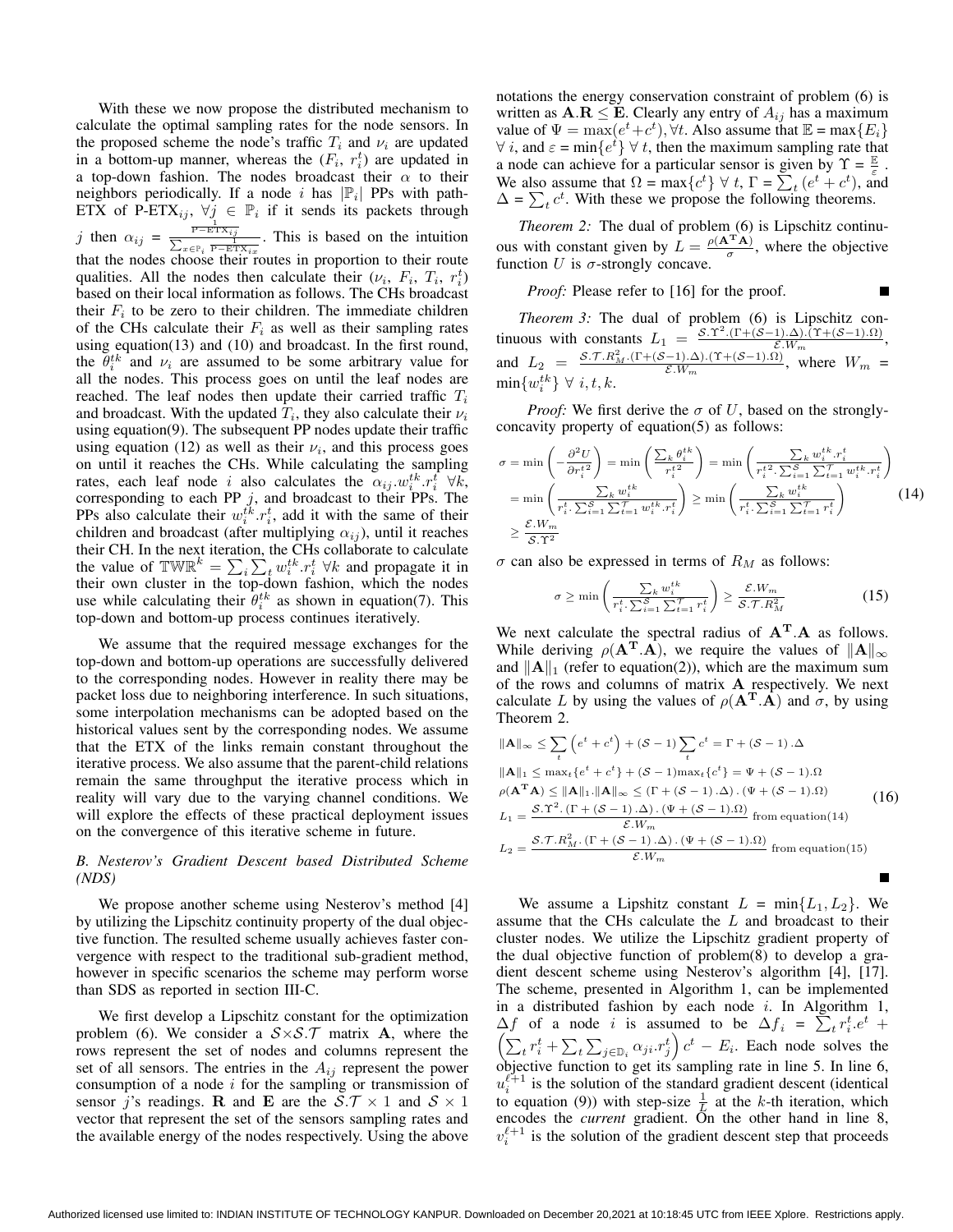With these we now propose the distributed mechanism to calculate the optimal sampling rates for the node sensors. In the proposed scheme the node's traffic  $T_i$  and  $\nu_i$  are updated in a bottom-up manner, whereas the  $(F_i, r_i^t)$  are updated in a top-down fashion. The nodes broadcast their  $\alpha$  to their neighbors periodically. If a node *i* has  $|\mathbb{P}_i|$  PPs with path-ETX of P-ETX<sub>ij</sub>,  $\forall j \in \mathbb{P}_i$  if it sends its packets through j then  $\alpha_{ij} = \frac{\frac{1}{P - E T X_{ij}}}{\sum_{x \in P_i} \frac{1}{P - E T X_{iz}}}.$  This is based on the intuition that the nodes choose their routes in proportion to their route qualities. All the nodes then calculate their  $(\nu_i, F_i, T_i, r_i^t)$ based on their local information as follows. The CHs broadcast their  $F_i$  to be zero to their children. The immediate children of the CHs calculate their  $F_i$  as well as their sampling rates using equation(13) and (10) and broadcast. In the first round, the  $\hat{\theta}_i^{tk}$  and  $\nu_i$  are assumed to be some arbitrary value for all the nodes. This process goes on until the leaf nodes are reached. The leaf nodes then update their carried traffic  $T_i$ and broadcast. With the updated  $T_i$ , they also calculate their  $\nu_i$ using equation(9). The subsequent PP nodes update their traffic using equation (12) as well as their  $\nu_i$ , and this process goes on until it reaches the CHs. While calculating the sampling rates, each leaf node i also calculates the  $\alpha_{ij} \cdot w_i^{tk} \cdot r_i^t \forall k$ , corresponding to each PP  $j$ , and broadcast to their PPs. The PPs also calculate their  $w_i^{tk} \cdot r_i^t$ , add it with the same of their children and broadcast (after multiplying  $\alpha_{ij}$ ), until it reaches their CH. In the next iteration, the CHs collaborate to calculate the value of TW $\mathbb{R}^k = \sum_i \sum_t w_i^{tk} \cdot r_i^t \ \forall k$  and propagate it in their own cluster in the top-down fashion, which the nodes use while calculating their  $\hat{\theta}^{tk}_i$  as shown in equation(7). This top-down and bottom-up process continues iteratively.

We assume that the required message exchanges for the top-down and bottom-up operations are successfully delivered to the corresponding nodes. However in reality there may be packet loss due to neighboring interference. In such situations, some interpolation mechanisms can be adopted based on the historical values sent by the corresponding nodes. We assume that the ETX of the links remain constant throughout the iterative process. We also assume that the parent-child relations remain the same throughput the iterative process which in reality will vary due to the varying channel conditions. We will explore the effects of these practical deployment issues on the convergence of this iterative scheme in future.

# *B. Nesterov's Gradient Descent based Distributed Scheme (NDS)*

We propose another scheme using Nesterov's method [4] by utilizing the Lipschitz continuity property of the dual objective function. The resulted scheme usually achieves faster convergence with respect to the traditional sub-gradient method, however in specific scenarios the scheme may perform worse than SDS as reported in section III-C.

We first develop a Lipschitz constant for the optimization problem (6). We consider a  $S \times S$ . T matrix **A**, where the rows represent the set of nodes and columns represent the set of all sensors. The entries in the  $A_{ij}$  represent the power consumption of a node  $i$  for the sampling or transmission of sensor j's readings. **R** and **E** are the  $S.\mathcal{T} \times 1$  and  $S \times 1$ vector that represent the set of the sensors sampling rates and the available energy of the nodes respectively. Using the above notations the energy conservation constraint of problem (6) is written as  $\mathbf{A}.\mathbf{R} \leq \mathbf{E}$ . Clearly any entry of  $A_{ij}$  has a maximum value of  $\Psi = \max(e^t + c^t)$ ,  $\forall t$ . Also assume that  $\mathbb{E} = \max\{E_i\}$  $\forall i$ , and  $\varepsilon = \min\{e^t\}$   $\forall t$ , then the maximum sampling rate that a node can achieve for a particular sensor is given by  $\Upsilon = \frac{\mathbb{E}}{\varepsilon}$ . We also assume that  $\Omega = \max\{c^t\} \forall t, \Gamma = \sum_t (e^t + c^t)$ , and  $\Delta = \sum_{t} c^{t}$ . With these we propose the following theorems.

*Theorem 2:* The dual of problem (6) is Lipschitz continuous with constant given by  $L = \frac{\rho(A^{T}A)}{\sigma}$ , where the objective function U is  $\sigma$ -strongly concave.

*Proof:* Please refer to [16] for the proof.

*Theorem 3:* The dual of problem (6) is Lipschitz continuous with constants  $L_1 = \frac{S \cdot \Upsilon^2 \cdot (\Gamma + (S-1) \cdot \Delta) \cdot (\Upsilon + (S-1) \cdot \Omega)}{\varepsilon W_m}$ , and  $L_2 = \frac{\mathcal{S}.\mathcal{T}.R_M^2.\left(\Gamma + (\mathcal{S}-1).\Delta\right).\left(\Upsilon + (\mathcal{S}-1).\Omega\right)}{\mathcal{E}.W_m}$ , where  $W_m =$  $\min\{w_i^{tk}\}\ \forall\ i, t, k.$ 

*Proof:* We first derive the  $\sigma$  of U, based on the stronglyconcavity property of equation(5) as follows:

$$
\sigma = \min\left(-\frac{\partial^2 U}{\partial r_i^{t2}}\right) = \min\left(\frac{\sum_k \theta_i^{tk}}{r_i^{t2}}\right) = \min\left(\frac{\sum_k w_i^{tk} \cdot r_i^t}{r_i^{t2} \cdot \sum_{i=1}^S \sum_{t=1}^T w_i^{tk} \cdot r_i^t}\right)
$$
\n
$$
= \min\left(\frac{\sum_k w_i^{tk}}{r_i^t \cdot \sum_{i=1}^S \sum_{t=1}^T w_i^{tk} \cdot r_i^t}\right) \ge \min\left(\frac{\sum_k w_i^{tk}}{r_i^t \cdot \sum_{i=1}^S \sum_{t=1}^T r_i^t}\right) \tag{14}
$$
\n
$$
\ge \frac{\mathcal{E}.W_m}{\mathcal{S}.T^2}
$$

 $\sigma$  can also be expressed in terms of  $R_M$  as follows:

$$
\sigma \ge \min\left(\frac{\sum_{k} w_i^{tk}}{r_i^t \cdot \sum_{i=1}^{S} \sum_{t=1}^{T} r_i^t}\right) \ge \frac{\mathcal{E}.W_m}{\mathcal{S}.T.R_M^2} \tag{15}
$$

We next calculate the spectral radius of **A<sup>T</sup>**.**A** as follows. While deriving  $\rho(\mathbf{A}^T \cdot \mathbf{A})$ , we require the values of  $||\mathbf{A}||_{\infty}$ and  $||A||_1$  (refer to equation(2)), which are the maximum sum of the rows and columns of matrix **A** respectively. We next calculate L by using the values of  $\rho(\mathbf{A}^T \cdot \mathbf{A})$  and  $\sigma$ , by using Theorem 2.

$$
\|\mathbf{A}\|_{\infty} \leq \sum_{t} \left(e^{t} + c^{t}\right) + (\mathcal{S} - 1) \sum_{t} c^{t} = \Gamma + (\mathcal{S} - 1) \cdot \Delta
$$
  
\n
$$
\|\mathbf{A}\|_{1} \leq \max_{t} \{e^{t} + c^{t}\} + (\mathcal{S} - 1) \max_{t} \{c^{t}\} = \Psi + (\mathcal{S} - 1) \cdot \Omega
$$
  
\n
$$
\rho(\mathbf{A}^{T} \mathbf{A}) \leq \|\mathbf{A}\|_{1} \cdot \|\mathbf{A}\|_{\infty} \leq (\Gamma + (\mathcal{S} - 1) \cdot \Delta) \cdot (\Psi + (\mathcal{S} - 1) \cdot \Omega)
$$
  
\n
$$
L_{1} = \frac{\mathcal{S} \cdot \Upsilon^{2} \cdot (\Gamma + (\mathcal{S} - 1) \cdot \Delta) \cdot (\Psi + (\mathcal{S} - 1) \cdot \Omega)}{\mathcal{E} \cdot W_{m}} \text{ from equation (14)}
$$
  
\n
$$
L_{2} = \frac{\mathcal{S} \cdot \Upsilon \cdot R_{M}^{2} \cdot (\Gamma + (\mathcal{S} - 1) \cdot \Delta) \cdot (\Psi + (\mathcal{S} - 1) \cdot \Omega)}{\mathcal{E} \cdot W_{m}} \text{ from equation (15)}
$$

We assume a Lipshitz constant  $L = \min\{L_1, L_2\}$ . We assume that the CHs calculate the  $L$  and broadcast to their cluster nodes. We utilize the Lipschitz gradient property of the dual objective function of problem(8) to develop a gradient descent scheme using Nesterov's algorithm [4], [17]. The scheme, presented in Algorithm 1, can be implemented in a distributed fashion by each node  $i$ . In Algorithm 1,  $\Delta f$  of a node *i* is assumed to be  $\Delta f_i = \sum_t r_i^t e^t +$ <br>  $\left(\sum_{i=1}^n r_i^t + \sum_{i=1}^n \sum_{j=1}^n c_{ij} r_j^t\right) e^t - E$ . Each node solves the  $\sum_{t} r_i^t + \sum_{t} \sum_{j \in \mathbb{D}_i} \alpha_{ji} r_j^t \Big) c^t - E_i$ . Each node solves the objective function to get its sampling rate in line 5. In line 6,  $u_i^{\ell+1}$  is the solution of the standard gradient descent (identical to equation (9)) with step-size  $\frac{1}{L}$  at the k-th iteration, which encodes the *current* gradient. On the other hand in line 8,  $v_i^{\ell+1}$  is the solution of the gradient descent step that proceeds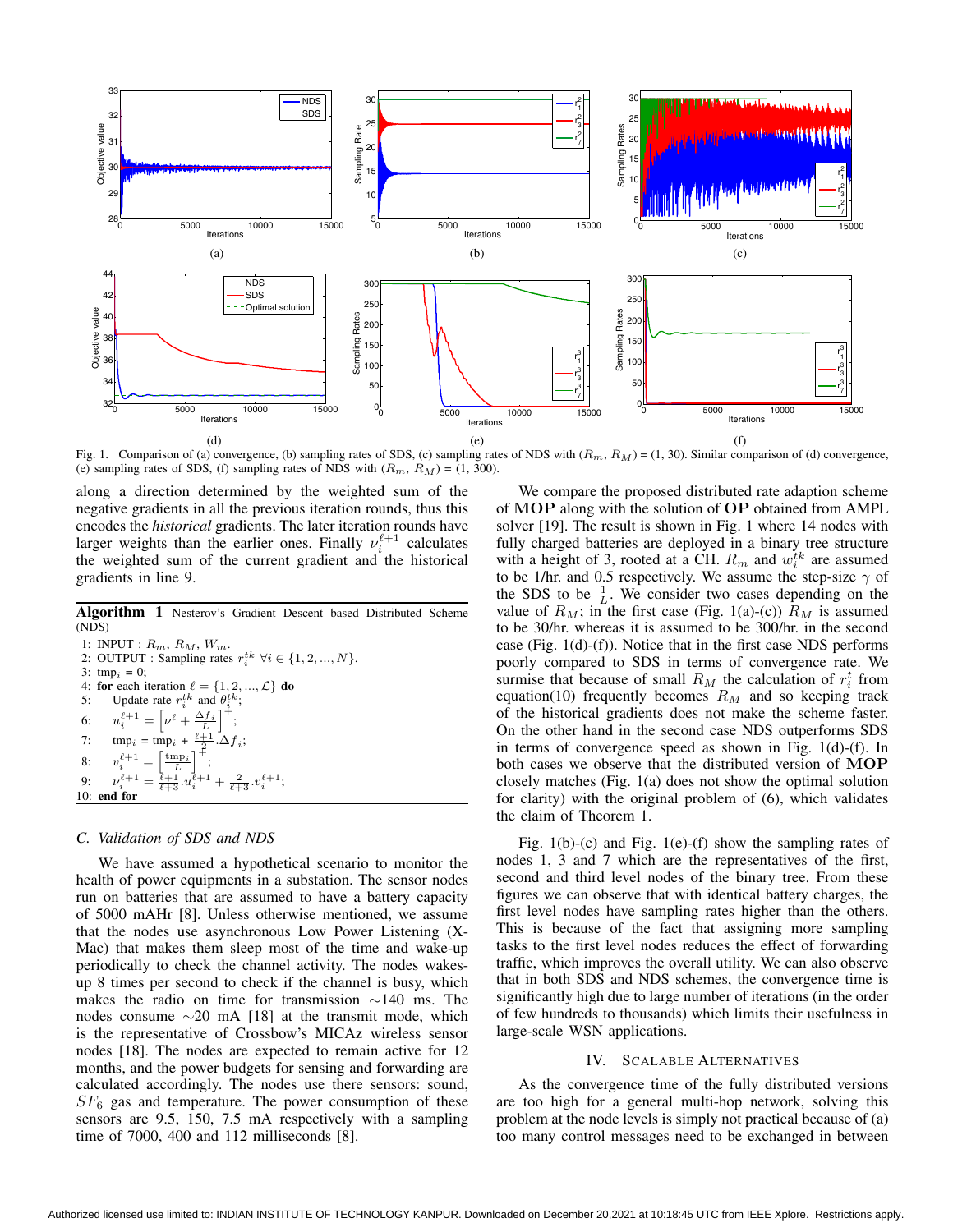

Fig. 1. Comparison of (a) convergence, (b) sampling rates of SDS, (c) sampling rates of NDS with  $(R_m, R_M) = (1, 30)$ . Similar comparison of (d) convergence, (e) sampling rates of SDS, (f) sampling rates of NDS with  $(R_m, R_M) = (1, 300)$ .

along a direction determined by the weighted sum of the negative gradients in all the previous iteration rounds, thus this encodes the *historical* gradients. The later iteration rounds have larger weights than the earlier ones. Finally  $\nu_i^{\ell+1}$  calculates the weighted sum of the current gradient and the historical gradients in line 9.

**Algorithm 1** Nesterov's Gradient Descent based Distributed Scheme (NDS)

| 1: INPUT : $R_m$ , $R_M$ , $W_m$ .                                                        |
|-------------------------------------------------------------------------------------------|
| 2: OUTPUT : Sampling rates $r_i^{tk}$ $\forall i \in \{1, 2, , N\}$ .                     |
| 3: tmp <sub>i</sub> = 0;                                                                  |
| 4: for each iteration $\ell = \{1, 2, , \mathcal{L}\}\$ do                                |
| 5: Update rate $r_i^{tk}$ and $\theta_i^{tk}$ ;                                           |
| 6: $u_i^{\ell+1} = \left[\nu^{\ell} + \frac{\Delta f_i}{L}\right]^+,$                     |
| 7: $\text{tmp}_i = \text{tmp}_i + \frac{\ell+1}{2} \cdot \Delta f_i;$                     |
| 8: $v_i^{\ell+1} = \left[\frac{\text{tmp}_i}{L}\right]^+,$                                |
| 9: $\nu_i^{\ell+1} = \frac{\ell+1}{\ell+2} u_i^{\ell+1} + \frac{2}{\ell+3} v_i^{\ell+1};$ |
| $10:$ end for                                                                             |

### *C. Validation of SDS and NDS*

We have assumed a hypothetical scenario to monitor the health of power equipments in a substation. The sensor nodes run on batteries that are assumed to have a battery capacity of 5000 mAHr [8]. Unless otherwise mentioned, we assume that the nodes use asynchronous Low Power Listening (X-Mac) that makes them sleep most of the time and wake-up periodically to check the channel activity. The nodes wakesup 8 times per second to check if the channel is busy, which makes the radio on time for transmission ∼140 ms. The nodes consume  $\sim$ 20 mA [18] at the transmit mode, which is the representative of Crossbow's MICAz wireless sensor nodes [18]. The nodes are expected to remain active for 12 months, and the power budgets for sensing and forwarding are calculated accordingly. The nodes use there sensors: sound,  $SF<sub>6</sub>$  gas and temperature. The power consumption of these sensors are 9.5, 150, 7.5 mA respectively with a sampling time of 7000, 400 and 112 milliseconds [8].

We compare the proposed distributed rate adaption scheme of **MOP** along with the solution of **OP** obtained from AMPL solver [19]. The result is shown in Fig. 1 where 14 nodes with fully charged batteries are deployed in a binary tree structure with a height of 3, rooted at a CH.  $R_m$  and  $w_i^{tk}$  are assumed to be 1/hr. and 0.5 respectively. We assume the step-size  $\gamma$  of the SDS to be  $\frac{1}{L}$ . We consider two cases depending on the value of  $R_M$ ; in the first case (Fig. 1(a)-(c))  $R_M$  is assumed to be 30/hr. whereas it is assumed to be 300/hr. in the second case (Fig. 1(d)-(f)). Notice that in the first case NDS performs poorly compared to SDS in terms of convergence rate. We surmise that because of small  $R_M$  the calculation of  $r_i^t$  from equation(10) frequently becomes  $R_M$  and so keeping track of the historical gradients does not make the scheme faster. On the other hand in the second case NDS outperforms SDS in terms of convergence speed as shown in Fig. 1(d)-(f). In both cases we observe that the distributed version of **MOP** closely matches (Fig. 1(a) does not show the optimal solution for clarity) with the original problem of (6), which validates the claim of Theorem 1.

Fig. 1(b)-(c) and Fig. 1(e)-(f) show the sampling rates of nodes 1, 3 and 7 which are the representatives of the first, second and third level nodes of the binary tree. From these figures we can observe that with identical battery charges, the first level nodes have sampling rates higher than the others. This is because of the fact that assigning more sampling tasks to the first level nodes reduces the effect of forwarding traffic, which improves the overall utility. We can also observe that in both SDS and NDS schemes, the convergence time is significantly high due to large number of iterations (in the order of few hundreds to thousands) which limits their usefulness in large-scale WSN applications.

# IV. SCALABLE ALTERNATIVES

As the convergence time of the fully distributed versions are too high for a general multi-hop network, solving this problem at the node levels is simply not practical because of (a) too many control messages need to be exchanged in between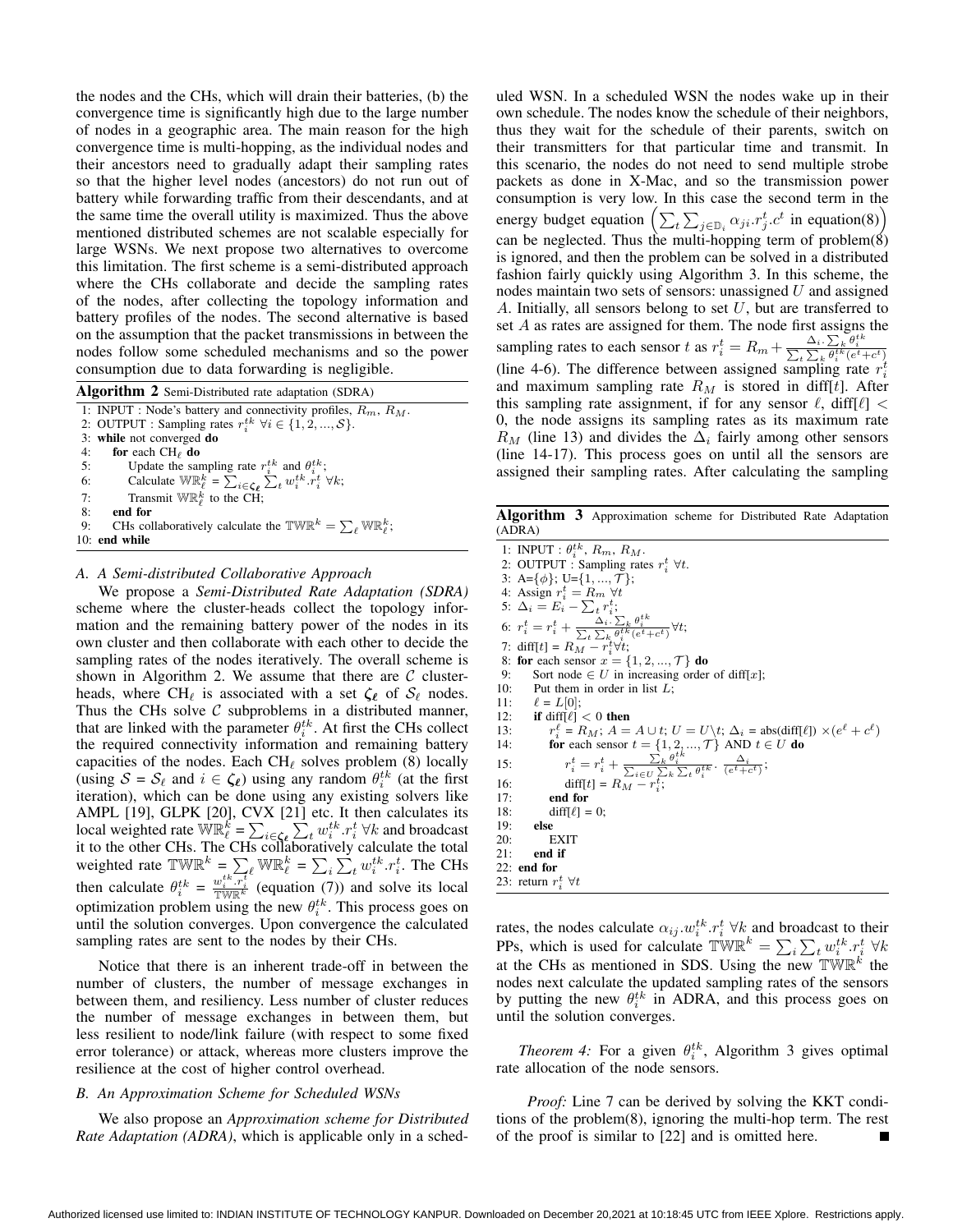the nodes and the CHs, which will drain their batteries, (b) the convergence time is significantly high due to the large number of nodes in a geographic area. The main reason for the high convergence time is multi-hopping, as the individual nodes and their ancestors need to gradually adapt their sampling rates so that the higher level nodes (ancestors) do not run out of battery while forwarding traffic from their descendants, and at the same time the overall utility is maximized. Thus the above mentioned distributed schemes are not scalable especially for large WSNs. We next propose two alternatives to overcome this limitation. The first scheme is a semi-distributed approach where the CHs collaborate and decide the sampling rates of the nodes, after collecting the topology information and battery profiles of the nodes. The second alternative is based on the assumption that the packet transmissions in between the nodes follow some scheduled mechanisms and so the power consumption due to data forwarding is negligible.

| <b>Algorithm 2</b> Semi-Distributed rate adaptation (SDRA) |                                                                                                                                          |  |
|------------------------------------------------------------|------------------------------------------------------------------------------------------------------------------------------------------|--|
|                                                            | 1: INPUT : Node's battery and connectivity profiles, $R_m$ , $R_M$ .                                                                     |  |
|                                                            | 2: OUTPUT : Sampling rates $r_i^{tk}$ $\forall i \in \{1, 2, , S\}$ .                                                                    |  |
|                                                            | 3: while not converged do                                                                                                                |  |
|                                                            | 4: for each $CH_{\ell}$ do                                                                                                               |  |
| 5:                                                         | Update the sampling rate $r_i^{tk}$ and $\theta_i^{tk}$ ;                                                                                |  |
| 6:                                                         | Calculate $\mathbb{W} \mathbb{R}_{\ell}^k = \sum_{i \in \mathcal{L}_{\ell}} \sum_{j \in \mathcal{L}} w_i^{tk} \cdot r_i^t \; \forall k;$ |  |
| 7:                                                         | Transmit $\mathbb{WR}_{\ell}^{k}$ to the CH;                                                                                             |  |
| 8:                                                         | end for                                                                                                                                  |  |
| 9:                                                         | CHs collaboratively calculate the TWR <sup>k</sup> = $\sum_{\ell}$ WR <sup>k</sup> <sub><math>\ell</math></sub> ,                        |  |
|                                                            | $10:$ end while                                                                                                                          |  |
|                                                            |                                                                                                                                          |  |

#### *A. A Semi-distributed Collaborative Approach*

We propose a *Semi-Distributed Rate Adaptation (SDRA)* scheme where the cluster-heads collect the topology information and the remaining battery power of the nodes in its own cluster and then collaborate with each other to decide the sampling rates of the nodes iteratively. The overall scheme is shown in Algorithm 2. We assume that there are  $\mathcal C$  clusterheads, where CH<sub>ℓ</sub> is associated with a set  $\zeta_\ell$  of  $S_\ell$  nodes. Thus the CHs solve  $C$  subproblems in a distributed manner, that are linked with the parameter  $\theta_i^{tk}$ . At first the CHs collect the required connectivity information and remaining battery capacities of the nodes. Each CH $_{\ell}$  solves problem (8) locally (using  $S = S_{\ell}$  and  $i \in \zeta_{\ell}$ ) using any random  $\theta_i^{tk}$  (at the first iteration), which can be done using any existing solvers like AMPL [19], GLPK [20], CVX [21] etc. It then calculates its local weighted rate  $\mathbb{W}^k \left( \sum_{\ell=1}^k \sum_{i \in \mathcal{L}_k} x_i^{t_k} \right) \cdot r_i^t \; \forall k$  and broadcast it to the other CHs. The CHs collaboratively calculate the total weighted rate  $\mathbb{TWR}^k = \sum_{\ell} \mathbb{WR}^k_{\ell} = \sum_i \sum_t w_i^{tk} \cdot r_i^t$ . The CHs then calculate  $\theta_i^{tk} = \frac{w_i^{tk} \cdot \overline{r_i^t}}{\sqrt{\frac{w_i^k}{k}}}$  (equation (7)) and solve its local optimization problem using the new  $\theta_i^{tk}$ . This process goes on until the solution converges. Upon convergence the calculated sampling rates are sent to the nodes by their CHs.

Notice that there is an inherent trade-off in between the number of clusters, the number of message exchanges in between them, and resiliency. Less number of cluster reduces the number of message exchanges in between them, but less resilient to node/link failure (with respect to some fixed error tolerance) or attack, whereas more clusters improve the resilience at the cost of higher control overhead.

# *B. An Approximation Scheme for Scheduled WSNs*

We also propose an *Approximation scheme for Distributed Rate Adaptation (ADRA)*, which is applicable only in a scheduled WSN. In a scheduled WSN the nodes wake up in their own schedule. The nodes know the schedule of their neighbors, thus they wait for the schedule of their parents, switch on their transmitters for that particular time and transmit. In this scenario, the nodes do not need to send multiple strobe packets as done in X-Mac, and so the transmission power consumption is very low. In this case the second term in the energy budget equation  $\left(\sum_{t}\sum_{j\in\mathbb{D}_i}\alpha_{ji}.r_j^t.c^t$  in equation(8)) can be neglected. Thus the multi-hopping term of problem $(\cancel{8})$ is ignored, and then the problem can be solved in a distributed fashion fairly quickly using Algorithm 3. In this scheme, the nodes maintain two sets of sensors: unassigned  $U$  and assigned A. Initially, all sensors belong to set  $U$ , but are transferred to set  $A$  as rates are assigned for them. The node first assigns the sampling rates to each sensor t as  $r_i^t = R_m + \frac{\Delta_i \cdot \sum_k \theta_i^{tk}}{\sum_k \sum_k \theta_i^{tk}(e^t + c^t)}$ (line 4-6). The difference between assigned sampling rate  $r_i^t$ and maximum sampling rate  $R_M$  is stored in diff[t]. After this sampling rate assignment, if for any sensor  $\ell$ , diff[ $\ell$ ] < 0, the node assigns its sampling rates as its maximum rate  $R_M$  (line 13) and divides the  $\Delta_i$  fairly among other sensors (line 14-17). This process goes on until all the sensors are assigned their sampling rates. After calculating the sampling

**Algorithm 3** Approximation scheme for Distributed Rate Adaptation (ADRA)

1: INPUT :  $\theta_i^{tk}$ ,  $R_m$ ,  $R_M$ .<br>2: OUTPUT : Sampling rates  $r_i^t \forall t$ . 3: A={ $\phi$ }; U={1, ...,  $\mathcal{T}$ }; 4: Assign  $r_i^t = R_m \ \forall t$ <br>5:  $\Delta_i = E_i - \sum_t r_i^t$ ; 6:  $r_i^t = r_i^t + \frac{\Delta_i \cdot \sum_k \theta_i^{tk}}{\sum_t \sum_k \theta_i^{tk}(e^t + c^t)}$ <br>7: diff[t] =  $R_M - r_i^t \forall t$ ; ∀; 8: **for** each sensor  $x = \{1, 2, ..., T\}$  **do**<br>9: Sort node  $\in$  *U* in increasing order Sort node  $\in U$  in increasing order of diff[x]; 10: Put them in order in list  $L$ ; 11:  $\ell = L[0];$ 12: **if** diff $\ell$ ] < 0 **then** 13:  $r_i^{\ell} = R_M$ ;  $A = A \cup t$ ;  $U = U \setminus t$ ;  $\Delta_i = \text{abs}(\text{diff}[\ell]) \times (e^{\ell} + c^{\ell})$ <br>14: **for** each sensor  $t = \{1, 2, ..., T\}$  AND  $t \in U$  **do** 15:  $r_i^t = r_i^t + \frac{\sum_k \theta_i^{tk}}{\sum_{i \in U} \sum_k \sum_t \theta_i^{tk}} \cdot \frac{\Delta_i}{(e^t + c^t)};$ 16:  $\text{diff}[t] = R_M - r_i^t;$ 17: **end for**<br>18: **diff[** $\ell$ ] =  $diff[\ell] = 0;$ 19: **else**  $20:$  EXIT<br> $21:$  end if end if 22: **end for**

23: return  $r_i^t$   $\forall t$ 

rates, the nodes calculate  $\alpha_{ij} \cdot w_i^{tk} \cdot r_i^t \forall k$  and broadcast to their PPs, which is used for calculate  $\mathbb{TWR}^k = \sum_i \sum_t w_i^{tk} \cdot r_i^t \ \forall k$ at the CHs as mentioned in SDS. Using the new  $\mathbb{TWR}^k$  the nodes next calculate the updated sampling rates of the sensors by putting the new  $\theta_i^{tk}$  in ADRA, and this process goes on until the solution converges.

*Theorem 4:* For a given  $\theta_i^{tk}$ , Algorithm 3 gives optimal rate allocation of the node sensors.

*Proof:* Line 7 can be derived by solving the KKT conditions of the problem(8), ignoring the multi-hop term. The rest of the proof is similar to [22] and is omitted here.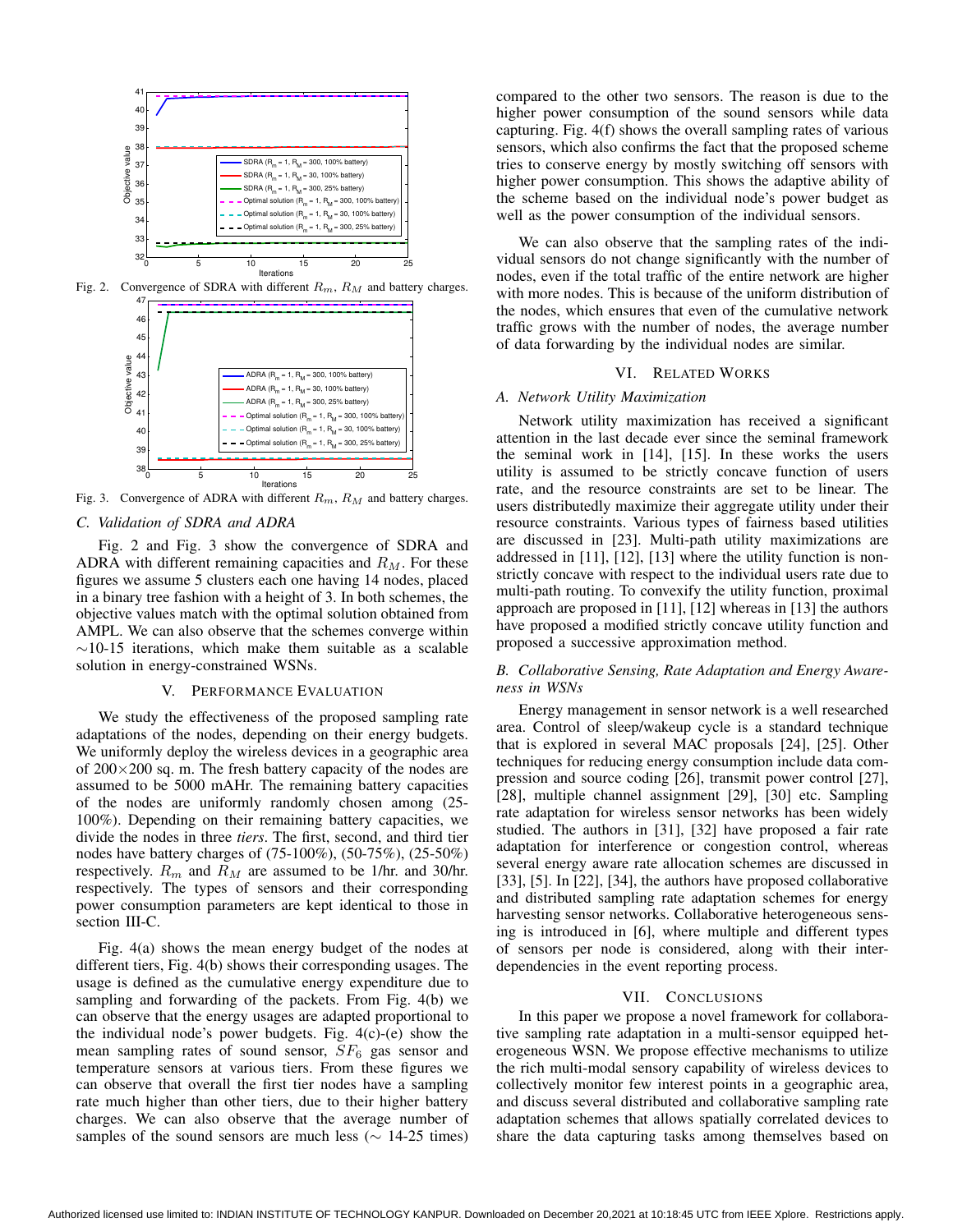

Fig. 2. Convergence of SDRA with different  $R_m$ ,  $R_M$  and battery charges.



Fig. 3. Convergence of ADRA with different  $R_m$ ,  $R_M$  and battery charges.

# *C. Validation of SDRA and ADRA*

Fig. 2 and Fig. 3 show the convergence of SDRA and ADRA with different remaining capacities and  $R_M$ . For these figures we assume 5 clusters each one having 14 nodes, placed in a binary tree fashion with a height of 3. In both schemes, the objective values match with the optimal solution obtained from AMPL. We can also observe that the schemes converge within  $\sim$ 10-15 iterations, which make them suitable as a scalable solution in energy-constrained WSNs.

#### V. PERFORMANCE EVALUATION

We study the effectiveness of the proposed sampling rate adaptations of the nodes, depending on their energy budgets. We uniformly deploy the wireless devices in a geographic area of  $200 \times 200$  sq. m. The fresh battery capacity of the nodes are assumed to be 5000 mAHr. The remaining battery capacities of the nodes are uniformly randomly chosen among (25- 100%). Depending on their remaining battery capacities, we divide the nodes in three *tiers*. The first, second, and third tier nodes have battery charges of (75-100%), (50-75%), (25-50%) respectively.  $R_m$  and  $R_M$  are assumed to be 1/hr. and 30/hr. respectively. The types of sensors and their corresponding power consumption parameters are kept identical to those in section III-C.

Fig. 4(a) shows the mean energy budget of the nodes at different tiers, Fig. 4(b) shows their corresponding usages. The usage is defined as the cumulative energy expenditure due to sampling and forwarding of the packets. From Fig. 4(b) we can observe that the energy usages are adapted proportional to the individual node's power budgets. Fig. 4(c)-(e) show the mean sampling rates of sound sensor,  $SF_6$  gas sensor and temperature sensors at various tiers. From these figures we can observe that overall the first tier nodes have a sampling rate much higher than other tiers, due to their higher battery charges. We can also observe that the average number of samples of the sound sensors are much less ( $\sim$  14-25 times) compared to the other two sensors. The reason is due to the higher power consumption of the sound sensors while data capturing. Fig. 4(f) shows the overall sampling rates of various sensors, which also confirms the fact that the proposed scheme tries to conserve energy by mostly switching off sensors with higher power consumption. This shows the adaptive ability of the scheme based on the individual node's power budget as well as the power consumption of the individual sensors.

We can also observe that the sampling rates of the individual sensors do not change significantly with the number of nodes, even if the total traffic of the entire network are higher with more nodes. This is because of the uniform distribution of the nodes, which ensures that even of the cumulative network traffic grows with the number of nodes, the average number of data forwarding by the individual nodes are similar.

#### VI. RELATED WORKS

#### *A. Network Utility Maximization*

Network utility maximization has received a significant attention in the last decade ever since the seminal framework the seminal work in [14], [15]. In these works the users utility is assumed to be strictly concave function of users rate, and the resource constraints are set to be linear. The users distributedly maximize their aggregate utility under their resource constraints. Various types of fairness based utilities are discussed in [23]. Multi-path utility maximizations are addressed in [11], [12], [13] where the utility function is nonstrictly concave with respect to the individual users rate due to multi-path routing. To convexify the utility function, proximal approach are proposed in [11], [12] whereas in [13] the authors have proposed a modified strictly concave utility function and proposed a successive approximation method.

## *B. Collaborative Sensing, Rate Adaptation and Energy Awareness in WSNs*

Energy management in sensor network is a well researched area. Control of sleep/wakeup cycle is a standard technique that is explored in several MAC proposals [24], [25]. Other techniques for reducing energy consumption include data compression and source coding [26], transmit power control [27], [28], multiple channel assignment [29], [30] etc. Sampling rate adaptation for wireless sensor networks has been widely studied. The authors in [31], [32] have proposed a fair rate adaptation for interference or congestion control, whereas several energy aware rate allocation schemes are discussed in [33], [5]. In [22], [34], the authors have proposed collaborative and distributed sampling rate adaptation schemes for energy harvesting sensor networks. Collaborative heterogeneous sensing is introduced in [6], where multiple and different types of sensors per node is considered, along with their interdependencies in the event reporting process.

#### VII. CONCLUSIONS

In this paper we propose a novel framework for collaborative sampling rate adaptation in a multi-sensor equipped heterogeneous WSN. We propose effective mechanisms to utilize the rich multi-modal sensory capability of wireless devices to collectively monitor few interest points in a geographic area, and discuss several distributed and collaborative sampling rate adaptation schemes that allows spatially correlated devices to share the data capturing tasks among themselves based on